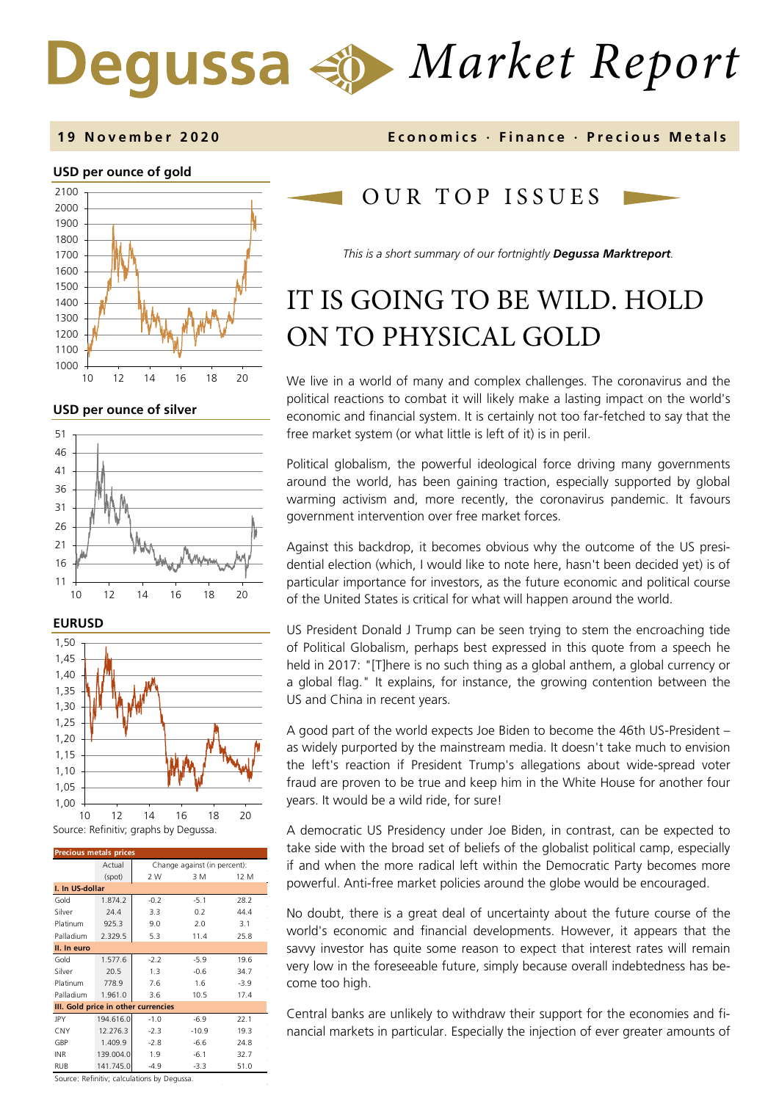# *Market Report*

#### **1 9 November 2020 Economics · Finance · Precious M etals**

#### **USD per ounce of gold**



**USD per ounce of silver** 





| <b>Precious metals prices</b>       |           |                              |         |        |  |  |  |
|-------------------------------------|-----------|------------------------------|---------|--------|--|--|--|
|                                     | Actual    | Change against (in percent): |         |        |  |  |  |
|                                     | (spot)    | 2 W                          | 3 M     | 12 M   |  |  |  |
| I. In US-dollar                     |           |                              |         |        |  |  |  |
| Gold                                | 1.874.2   | $-0.2$                       | $-5.1$  | 28.2   |  |  |  |
| Silver                              | 74.4      | 3.3                          | 0.2     | 44.4   |  |  |  |
| Platinum                            | 925.3     | 9.0                          | 2.0     | 3.1    |  |  |  |
| Palladium                           | 2.329.5   | 5.3                          | 11.4    | 25.8   |  |  |  |
| II. In euro                         |           |                              |         |        |  |  |  |
| Gold                                | 1.577.6   | $-2.2$                       | $-5.9$  | 19.6   |  |  |  |
| Silver                              | 20.5      | 1.3                          | $-0.6$  | 34.7   |  |  |  |
| Platinum                            | 778.9     | 7.6                          | 1.6     | $-3.9$ |  |  |  |
| Palladium                           | 1.961.0   | 3.6                          | 10.5    | 17.4   |  |  |  |
| III. Gold price in other currencies |           |                              |         |        |  |  |  |
| JPY                                 | 194.616.0 | $-1.0$                       | $-6.9$  | 22.1   |  |  |  |
| CNY                                 | 12.276.3  | $-2.3$                       | $-10.9$ | 19.3   |  |  |  |
| GBP                                 | 1.409.9   | $-2.8$                       | $-6.6$  | 24.8   |  |  |  |
| <b>INR</b>                          | 139.004.0 | 1.9                          | $-6.1$  | 32.7   |  |  |  |
| RUB                                 | 141.745.0 | $-4.9$                       | $-3.3$  | 51.0   |  |  |  |

Source: Refinitiv; calculations by Degussa.

# OUR TOP ISSUE S

*This is a short summary of our fortnightly Degussa Marktreport.*

# IT IS GOING TO BE WILD. HOLD ON TO PHYSICAL GOLD

We live in a world of many and complex challenges. The coronavirus and the political reactions to combat it will likely make a lasting impact on the world's economic and financial system. It is certainly not too far-fetched to say that the free market system (or what little is left of it) is in peril.

Political globalism, the powerful ideological force driving many governments around the world, has been gaining traction, especially supported by global warming activism and, more recently, the coronavirus pandemic. It favours government intervention over free market forces.

Against this backdrop, it becomes obvious why the outcome of the US presidential election (which, I would like to note here, hasn't been decided yet) is of particular importance for investors, as the future economic and political course of the United States is critical for what will happen around the world.

US President Donald J Trump can be seen trying to stem the encroaching tide of Political Globalism, perhaps best expressed in this quote from a speech he held in 2017: "[T]here is no such thing as a global anthem, a global currency or a global flag." It explains, for instance, the growing contention between the US and China in recent years.

A good part of the world expects Joe Biden to become the 46th US-President – as widely purported by the mainstream media. It doesn't take much to envision the left's reaction if President Trump's allegations about wide-spread voter fraud are proven to be true and keep him in the White House for another four years. It would be a wild ride, for sure!

A democratic US Presidency under Joe Biden, in contrast, can be expected to take side with the broad set of beliefs of the globalist political camp, especially if and when the more radical left within the Democratic Party becomes more powerful. Anti-free market policies around the globe would be encouraged.

No doubt, there is a great deal of uncertainty about the future course of the world's economic and financial developments. However, it appears that the savvy investor has quite some reason to expect that interest rates will remain very low in the foreseeable future, simply because overall indebtedness has become too high.

Central banks are unlikely to withdraw their support for the economies and financial markets in particular. Especially the injection of ever greater amounts of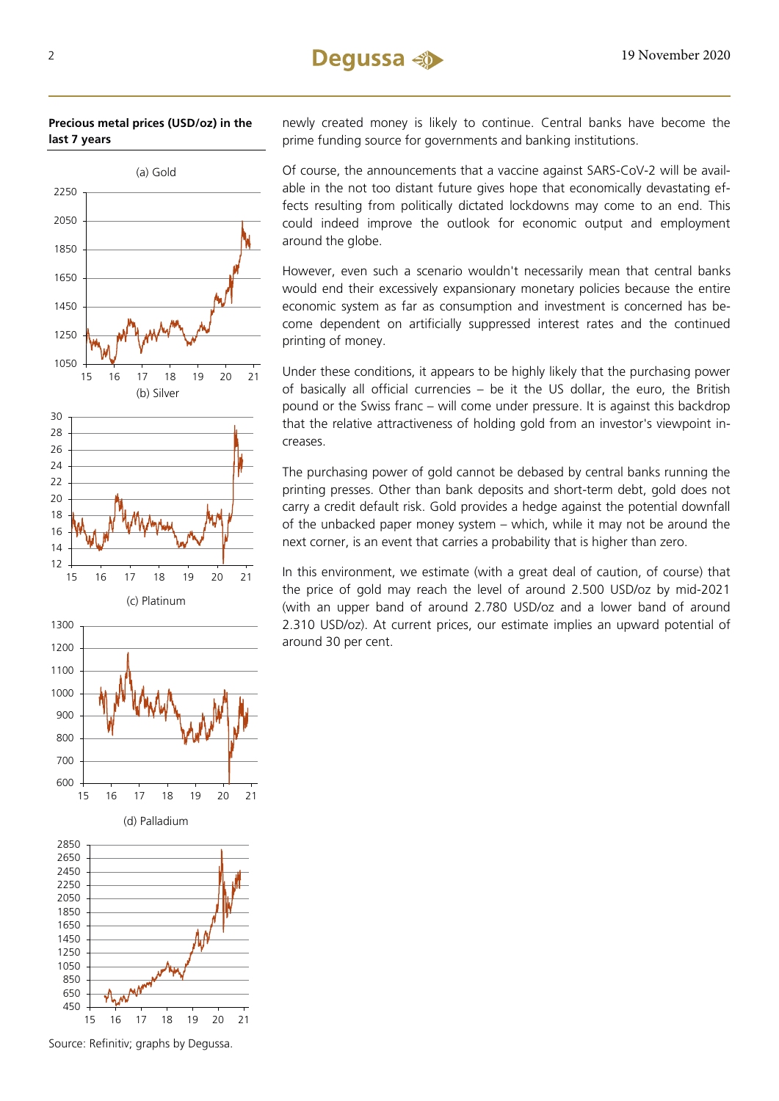#### **Precious metal prices (USD/oz) in the last 7 years**



Source: Refinitiv; graphs by Degussa.

newly created money is likely to continue. Central banks have become the prime funding source for governments and banking institutions.

Of course, the announcements that a vaccine against SARS-CoV-2 will be available in the not too distant future gives hope that economically devastating effects resulting from politically dictated lockdowns may come to an end. This could indeed improve the outlook for economic output and employment around the globe.

However, even such a scenario wouldn't necessarily mean that central banks would end their excessively expansionary monetary policies because the entire economic system as far as consumption and investment is concerned has become dependent on artificially suppressed interest rates and the continued printing of money.

Under these conditions, it appears to be highly likely that the purchasing power of basically all official currencies – be it the US dollar, the euro, the British pound or the Swiss franc – will come under pressure. It is against this backdrop that the relative attractiveness of holding gold from an investor's viewpoint increases.

The purchasing power of gold cannot be debased by central banks running the printing presses. Other than bank deposits and short-term debt, gold does not carry a credit default risk. Gold provides a hedge against the potential downfall of the unbacked paper money system – which, while it may not be around the next corner, is an event that carries a probability that is higher than zero.

In this environment, we estimate (with a great deal of caution, of course) that the price of gold may reach the level of around 2.500 USD/oz by mid-2021 (with an upper band of around 2.780 USD/oz and a lower band of around 2.310 USD/oz). At current prices, our estimate implies an upward potential of around 30 per cent.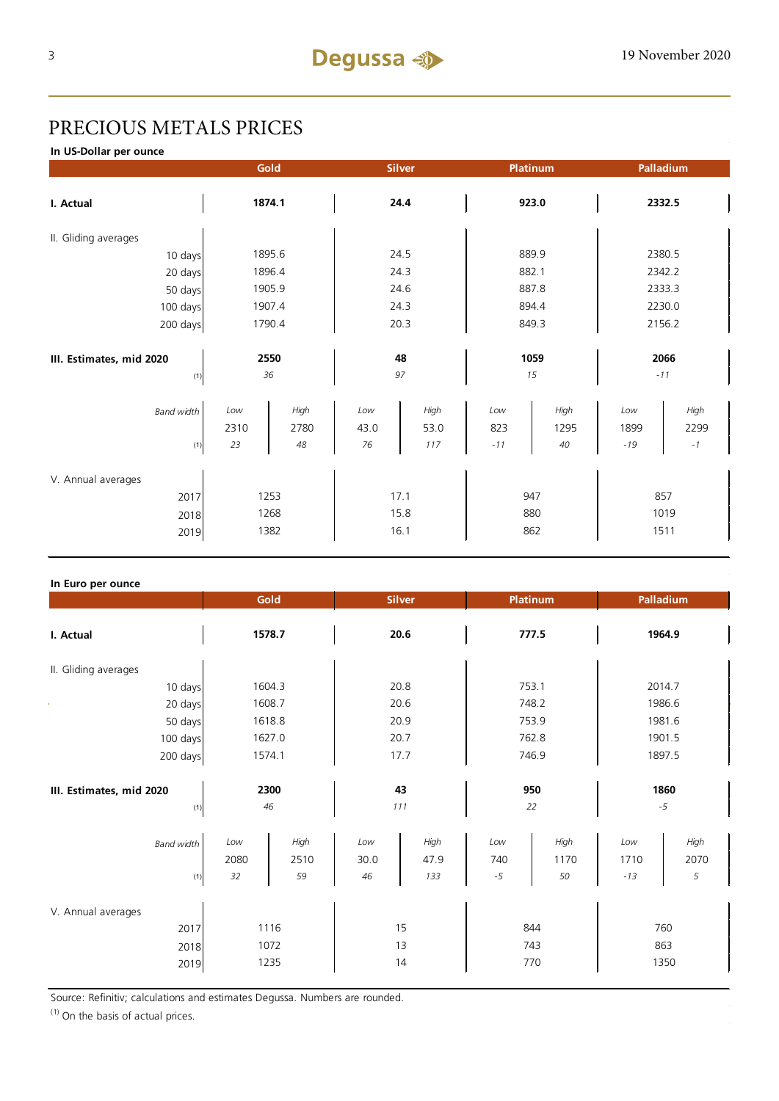# PRECIOUS METALS PRICES

**In US-Dollar per ounce**

|                          |             | Gold         |             | <b>Silver</b> | <b>Platinum</b> |              | Palladium   |              |  |
|--------------------------|-------------|--------------|-------------|---------------|-----------------|--------------|-------------|--------------|--|
| I. Actual                | 1874.1      |              | 24.4        |               | 923.0           |              | 2332.5      |              |  |
| II. Gliding averages     |             |              |             |               |                 |              |             |              |  |
| 10 days                  |             | 1895.6       | 24.5        |               | 889.9           |              | 2380.5      |              |  |
| 20 days                  |             | 1896.4       |             | 24.3          |                 | 882.1        |             | 2342.2       |  |
| 50 days                  | 1905.9      |              | 24.6        |               | 887.8           |              | 2333.3      |              |  |
| 100 days                 |             | 1907.4       |             | 24.3          |                 | 894.4        |             | 2230.0       |  |
| 200 days                 | 1790.4      |              | 20.3        |               | 849.3           |              | 2156.2      |              |  |
|                          |             |              |             |               |                 |              |             |              |  |
| III. Estimates, mid 2020 | 2550        |              | 48          |               | 1059            |              | 2066        |              |  |
| (1)                      | 36          |              | 97          |               | 15              |              | $-11$       |              |  |
| <b>Band width</b>        | Low<br>2310 | High<br>2780 | Low<br>43.0 | High<br>53.0  | Low<br>823      | High<br>1295 | Low<br>1899 | High<br>2299 |  |
| (1)                      | 23          | 48           | 76          | 117           | $-11$           | 40           | $-19$       | $^{\rm -1}$  |  |
| V. Annual averages       |             |              |             |               |                 |              |             |              |  |
| 2017                     | 1253        |              | 17.1        |               | 947             |              | 857         |              |  |
| 2018                     | 1268        |              | 15.8        |               | 880             |              | 1019        |              |  |
| 2019                     | 1382        |              | 16.1        |               | 862             |              | 1511        |              |  |

#### **In Euro per ounce**

|                                            | Gold<br><b>Silver</b> |                    | <b>Platinum</b>   |                     | Palladium          |                    |                      |                   |  |
|--------------------------------------------|-----------------------|--------------------|-------------------|---------------------|--------------------|--------------------|----------------------|-------------------|--|
| I. Actual                                  | 1578.7                |                    | 20.6              |                     | 777.5              |                    | 1964.9               |                   |  |
| II. Gliding averages                       |                       |                    |                   |                     |                    |                    |                      |                   |  |
| 10 days                                    | 1604.3                |                    | 20.8              |                     | 753.1              |                    | 2014.7               |                   |  |
| 20 days                                    | 1608.7                |                    | 20.6              |                     | 748.2              |                    | 1986.6               |                   |  |
| 50 days                                    |                       | 1618.8             |                   | 20.9                |                    | 753.9              |                      | 1981.6            |  |
| 100 days                                   |                       | 1627.0             |                   | 20.7                |                    | 762.8              |                      | 1901.5            |  |
| 200 days                                   | 1574.1                |                    | 17.7              |                     | 746.9              |                    | 1897.5               |                   |  |
| III. Estimates, mid 2020<br>(1)            | 2300<br>46            |                    | 43<br>111         |                     | 950<br>22          |                    | 1860<br>$-5$         |                   |  |
| <b>Band width</b><br>(1)                   | Low<br>2080<br>32     | High<br>2510<br>59 | Low<br>30.0<br>46 | High<br>47.9<br>133 | Low<br>740<br>$-5$ | High<br>1170<br>50 | Low<br>1710<br>$-13$ | High<br>2070<br>5 |  |
| V. Annual averages<br>2017<br>2018<br>2019 | 1116<br>1072<br>1235  |                    |                   | 15<br>13<br>14      | 844<br>743<br>770  |                    | 863                  | 760<br>1350       |  |

Source: Refinitiv; calculations and estimates Degussa. Numbers are rounded.

 $(1)$  On the basis of actual prices.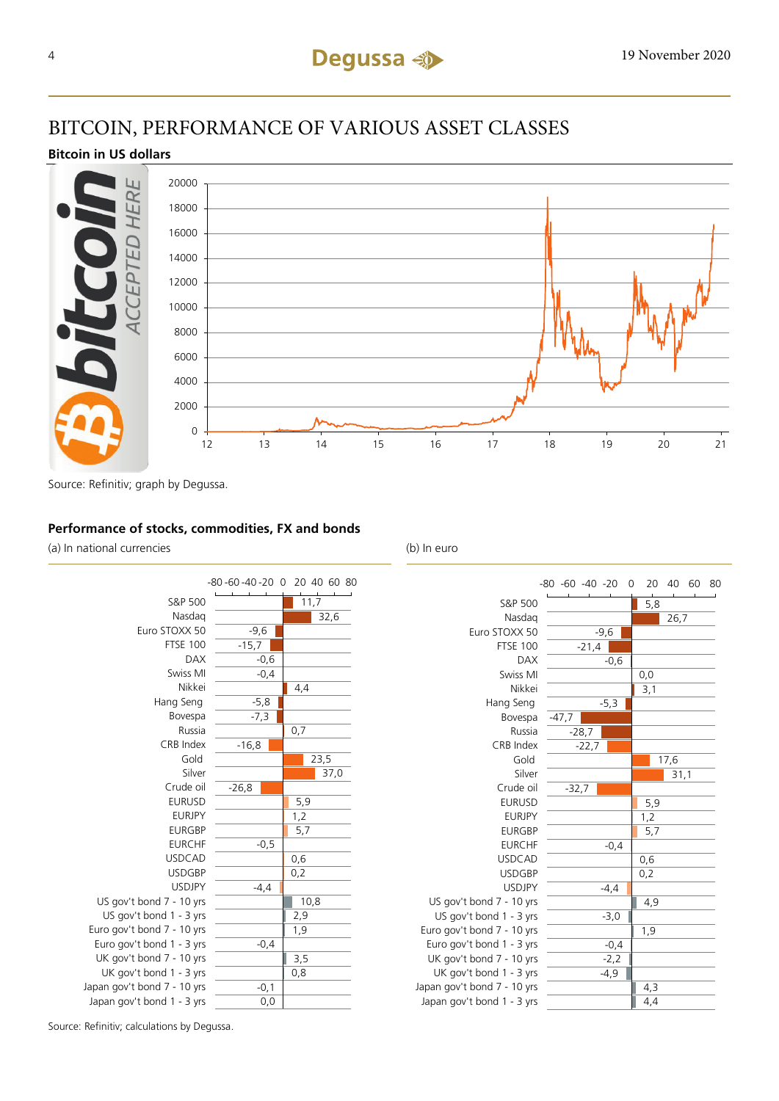# BITCOIN, PERFORMANCE OF VARIOUS ASSET CLASSES

#### **Bitcoin in US dollars**



Source: Refinitiv; graph by Degussa.

#### **Performance of stocks, commodities, FX and bonds**

(a) In national currencies (b) In euro





Source: Refinitiv; calculations by Degussa.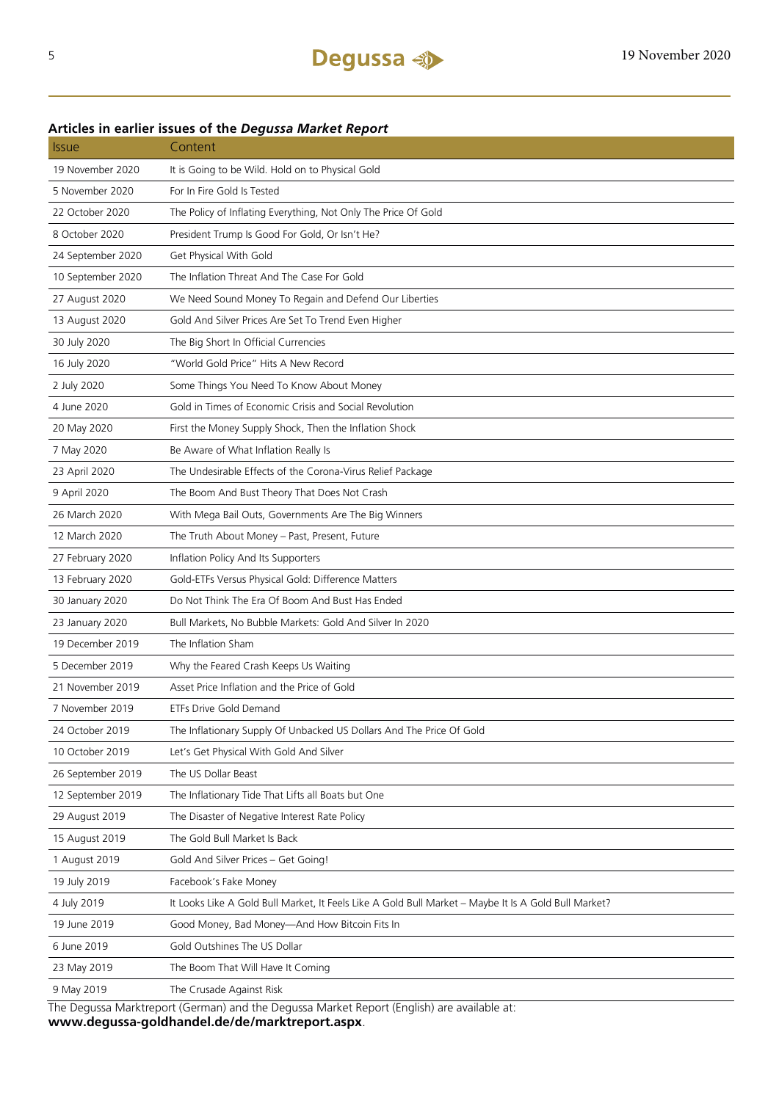### Issue Content 19 November 2020 It is Going to be Wild. Hold on to Physical Gold 5 November 2020 For In Fire Gold Is Tested 22 October 2020 The Policy of Inflating Everything, Not Only The Price Of Gold 8 October 2020 President Trump Is Good For Gold, Or Isn't He? 24 September 2020 Get Physical With Gold 10 September 2020 The Inflation Threat And The Case For Gold 27 August 2020 We Need Sound Money To Regain and Defend Our Liberties 13 August 2020 Gold And Silver Prices Are Set To Trend Even Higher 30 July 2020 The Big Short In Official Currencies 16 July 2020 "World Gold Price" Hits A New Record 2 July 2020 Some Things You Need To Know About Money 4 June 2020 Gold in Times of Economic Crisis and Social Revolution 20 May 2020 First the Money Supply Shock, Then the Inflation Shock 7 May 2020 Be Aware of What Inflation Really Is 23 April 2020 The Undesirable Effects of the Corona-Virus Relief Package 9 April 2020 The Boom And Bust Theory That Does Not Crash 26 March 2020 With Mega Bail Outs, Governments Are The Big Winners 12 March 2020 The Truth About Money – Past, Present, Future 27 February 2020 Inflation Policy And Its Supporters 13 February 2020 Gold-ETFs Versus Physical Gold: Difference Matters 30 January 2020 Do Not Think The Era Of Boom And Bust Has Ended 23 January 2020 Bull Markets, No Bubble Markets: Gold And Silver In 2020 19 December 2019 The Inflation Sham 5 December 2019 Why the Feared Crash Keeps Us Waiting 21 November 2019 Asset Price Inflation and the Price of Gold 7 November 2019 ETFs Drive Gold Demand 24 October 2019 The Inflationary Supply Of Unbacked US Dollars And The Price Of Gold 10 October 2019 Let's Get Physical With Gold And Silver 26 September 2019 The US Dollar Beast 12 September 2019 The Inflationary Tide That Lifts all Boats but One 29 August 2019 The Disaster of Negative Interest Rate Policy 15 August 2019 The Gold Bull Market Is Back 1 August 2019 Gold And Silver Prices – Get Going! 19 July 2019 Facebook's Fake Money 4 July 2019 It Looks Like A Gold Bull Market, It Feels Like A Gold Bull Market – Maybe It Is A Gold Bull Market? 19 June 2019 Good Money, Bad Money—And How Bitcoin Fits In 6 June 2019 Gold Outshines The US Dollar 23 May 2019 The Boom That Will Have It Coming 9 May 2019 The Crusade Against Risk

#### **Articles in earlier issues of the** *Degussa Market Report*

The Degussa Marktreport (German) and the Degussa Market Report (English) are available at: **www.degussa-goldhandel.de/de/marktreport.aspx**.